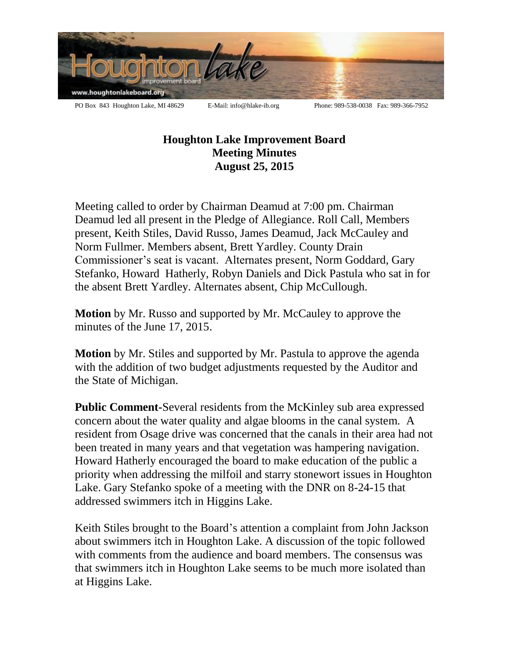

## **Houghton Lake Improvement Board Meeting Minutes August 25, 2015**

Meeting called to order by Chairman Deamud at 7:00 pm. Chairman Deamud led all present in the Pledge of Allegiance. Roll Call, Members present, Keith Stiles, David Russo, James Deamud, Jack McCauley and Norm Fullmer. Members absent, Brett Yardley. County Drain Commissioner's seat is vacant. Alternates present, Norm Goddard, Gary Stefanko, Howard Hatherly, Robyn Daniels and Dick Pastula who sat in for the absent Brett Yardley. Alternates absent, Chip McCullough.

**Motion** by Mr. Russo and supported by Mr. McCauley to approve the minutes of the June 17, 2015.

**Motion** by Mr. Stiles and supported by Mr. Pastula to approve the agenda with the addition of two budget adjustments requested by the Auditor and the State of Michigan.

**Public Comment-**Several residents from the McKinley sub area expressed concern about the water quality and algae blooms in the canal system. A resident from Osage drive was concerned that the canals in their area had not been treated in many years and that vegetation was hampering navigation. Howard Hatherly encouraged the board to make education of the public a priority when addressing the milfoil and starry stonewort issues in Houghton Lake. Gary Stefanko spoke of a meeting with the DNR on 8-24-15 that addressed swimmers itch in Higgins Lake.

Keith Stiles brought to the Board's attention a complaint from John Jackson about swimmers itch in Houghton Lake. A discussion of the topic followed with comments from the audience and board members. The consensus was that swimmers itch in Houghton Lake seems to be much more isolated than at Higgins Lake.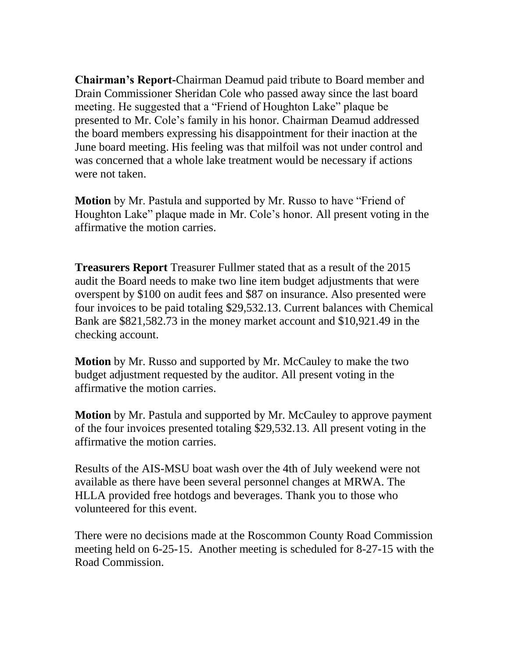**Chairman's Report-**Chairman Deamud paid tribute to Board member and Drain Commissioner Sheridan Cole who passed away since the last board meeting. He suggested that a "Friend of Houghton Lake" plaque be presented to Mr. Cole's family in his honor. Chairman Deamud addressed the board members expressing his disappointment for their inaction at the June board meeting. His feeling was that milfoil was not under control and was concerned that a whole lake treatment would be necessary if actions were not taken.

**Motion** by Mr. Pastula and supported by Mr. Russo to have "Friend of Houghton Lake" plaque made in Mr. Cole's honor. All present voting in the affirmative the motion carries.

**Treasurers Report** Treasurer Fullmer stated that as a result of the 2015 audit the Board needs to make two line item budget adjustments that were overspent by \$100 on audit fees and \$87 on insurance. Also presented were four invoices to be paid totaling \$29,532.13. Current balances with Chemical Bank are \$821,582.73 in the money market account and \$10,921.49 in the checking account.

**Motion** by Mr. Russo and supported by Mr. McCauley to make the two budget adjustment requested by the auditor. All present voting in the affirmative the motion carries.

**Motion** by Mr. Pastula and supported by Mr. McCauley to approve payment of the four invoices presented totaling \$29,532.13. All present voting in the affirmative the motion carries.

Results of the AIS-MSU boat wash over the 4th of July weekend were not available as there have been several personnel changes at MRWA. The HLLA provided free hotdogs and beverages. Thank you to those who volunteered for this event.

There were no decisions made at the Roscommon County Road Commission meeting held on 6-25-15. Another meeting is scheduled for 8-27-15 with the Road Commission.